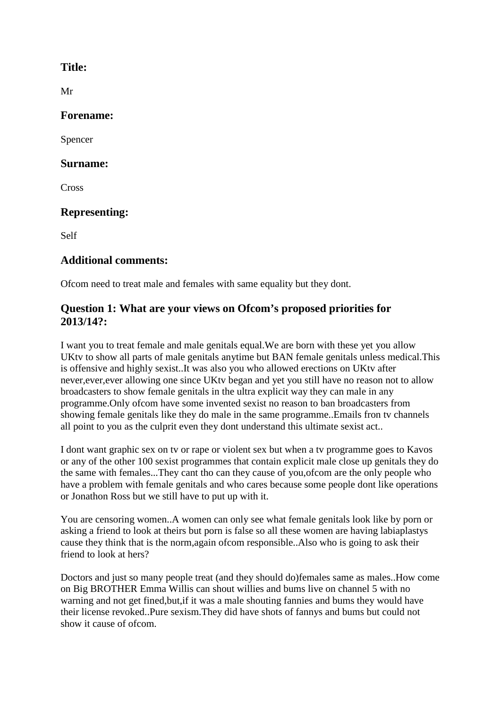## **Title:**

Mr

#### **Forename:**

Spencer

#### **Surname:**

Cross

## **Representing:**

Self

## **Additional comments:**

Ofcom need to treat male and females with same equality but they dont.

# **Question 1: What are your views on Ofcom's proposed priorities for 2013/14?:**

I want you to treat female and male genitals equal.We are born with these yet you allow UKtv to show all parts of male genitals anytime but BAN female genitals unless medical.This is offensive and highly sexist..It was also you who allowed erections on UKtv after never,ever,ever allowing one since UKtv began and yet you still have no reason not to allow broadcasters to show female genitals in the ultra explicit way they can male in any programme.Only ofcom have some invented sexist no reason to ban broadcasters from showing female genitals like they do male in the same programme..Emails fron tv channels all point to you as the culprit even they dont understand this ultimate sexist act..

I dont want graphic sex on tv or rape or violent sex but when a tv programme goes to Kavos or any of the other 100 sexist programmes that contain explicit male close up genitals they do the same with females...They cant tho can they cause of you,ofcom are the only people who have a problem with female genitals and who cares because some people dont like operations or Jonathon Ross but we still have to put up with it.

You are censoring women..A women can only see what female genitals look like by porn or asking a friend to look at theirs but porn is false so all these women are having labiaplastys cause they think that is the norm,again ofcom responsible..Also who is going to ask their friend to look at hers?

Doctors and just so many people treat (and they should do)females same as males..How come on Big BROTHER Emma Willis can shout willies and bums live on channel 5 with no warning and not get fined,but,if it was a male shouting fannies and bums they would have their license revoked..Pure sexism.They did have shots of fannys and bums but could not show it cause of ofcom.